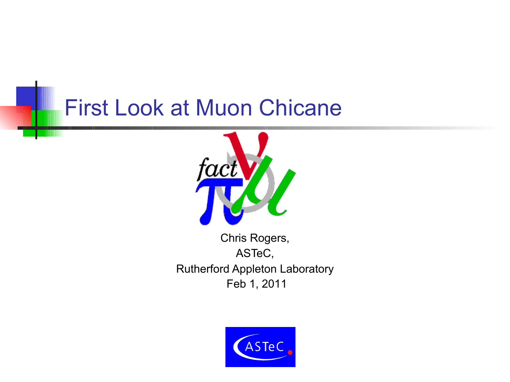#### First Look at Muon Chicane



Chris Rogers, ASTeC, Rutherford Appleton Laboratory Feb 1, 2011

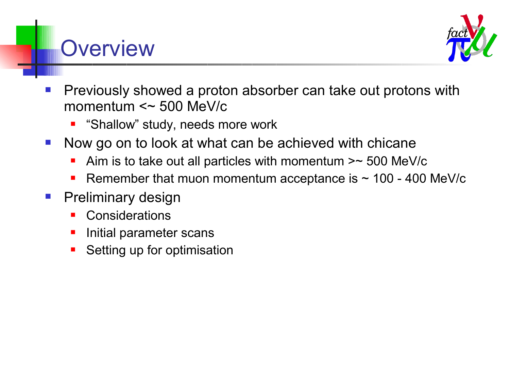#### **Overview**



- Previously showed a proton absorber can take out protons with momentum  $\leq$  500 MeV/c
	- "Shallow" study, needs more work
- Now go on to look at what can be achieved with chicane
	- Aim is to take out all particles with momentum >~ 500 MeV/c
	- Remember that muon momentum acceptance is  $\sim$  100 400 MeV/c
- **Preliminary design** 
	- **Considerations**
	- Initial parameter scans
	- Setting up for optimisation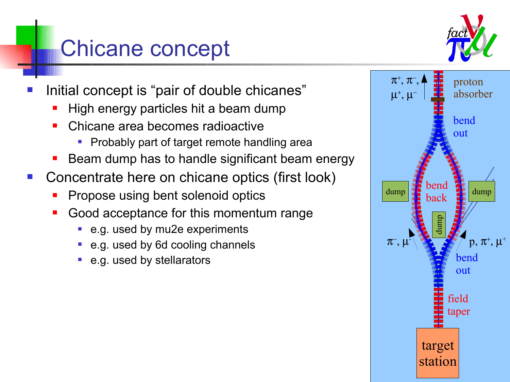## Chicane concept



- Initial concept is "pair of double chicanes"
	- High energy particles hit a beam dump
	- Chicane area becomes radioactive
		- **Probably part of target remote handling area**
	- Beam dump has to handle significant beam energy
- Concentrate here on chicane optics (first look)
	- Propose using bent solenoid optics
	- Good acceptance for this momentum range
		- e.g. used by mu2e experiments
		- e.g. used by 6d cooling channels
		- e.g. used by stellarators

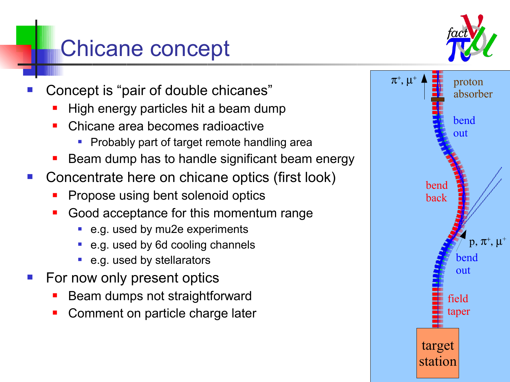### Chicane concept

- Concept is "pair of double chicanes"
	- High energy particles hit a beam dump
	- Chicane area becomes radioactive
		- **Probably part of target remote handling area**
	- Beam dump has to handle significant beam energy
- Concentrate here on chicane optics (first look)
	- Propose using bent solenoid optics
	- Good acceptance for this momentum range
		- e.g. used by mu2e experiments
		- e.g. used by 6d cooling channels
		- e.g. used by stellarators
- For now only present optics
	- Beam dumps not straightforward
	- Comment on particle charge later



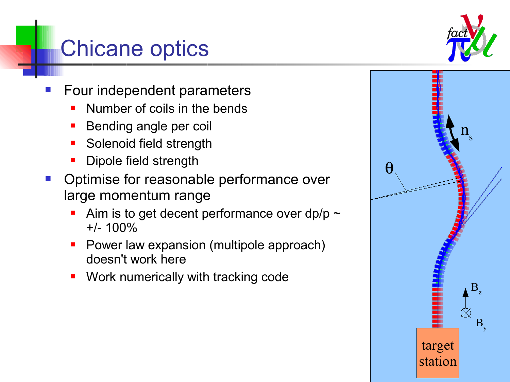### Chicane optics

- Four independent parameters
	- Number of coils in the bends
	- Bending angle per coil
	- **Solenoid field strength**
	- Dipole field strength
- Optimise for reasonable performance over large momentum range
	- Aim is to get decent performance over dp/p  $\sim$  $+/- 100\%$
	- Power law expansion (multipole approach) doesn't work here
	- **Work numerically with tracking code**

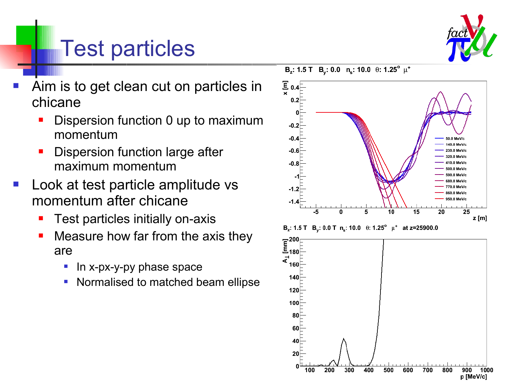

## Test particles

- Aim is to get clean cut on particles in chicane
	- Dispersion function 0 up to maximum momentum
	- Dispersion function large after maximum momentum
- Look at test particle amplitude vs momentum after chicane
	- Test particles initially on-axis
	- Measure how far from the axis they are
		- $\blacksquare$  In x-px-y-py phase space
		- Normalised to matched beam ellipse



B<sub>z</sub>: 1.5 T B<sub>y</sub>: 0.0 T n<sub>s</sub>: 10.0  $\theta$ : 1.25°  $\mu^+$  at z=25900.0

 $B_z$ : 1.5 T  $B_v$ : 0.0 n<sub>s</sub>: 10.0  $\theta$ : 1.25<sup>°</sup>  $\mu^+$ 

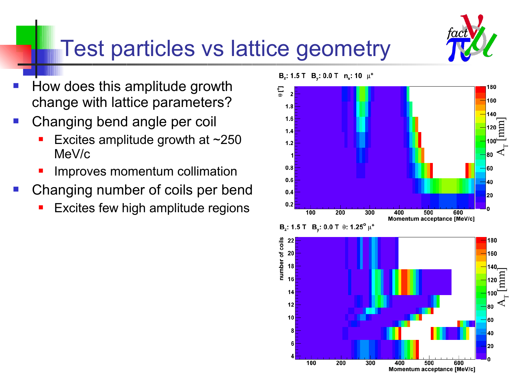

#### Test particles vs lattice geometry

- How does this amplitude growth change with lattice parameters?
- Changing bend angle per coil
	- Excites amplitude growth at ~250 MeV/c
	- Improves momentum collimation
- Changing number of coils per bend
	- Excites few high amplitude regions



$$
B_z: 1.5 T \quad B_y: 0.0 T \; \theta: 1.25^{\circ} \mu^+
$$

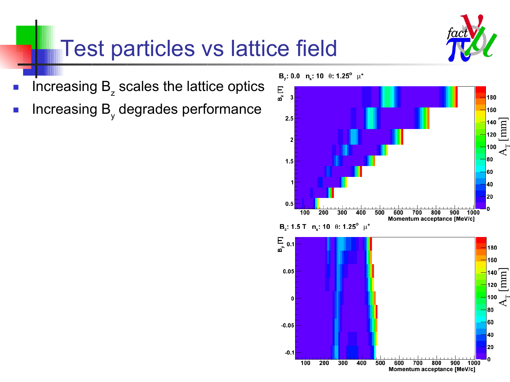

## Test particles vs lattice field

- **IDED** Increasing B<sub>z</sub> scales the lattice optics
- **Increasing B<sub>y</sub> degrades performance**

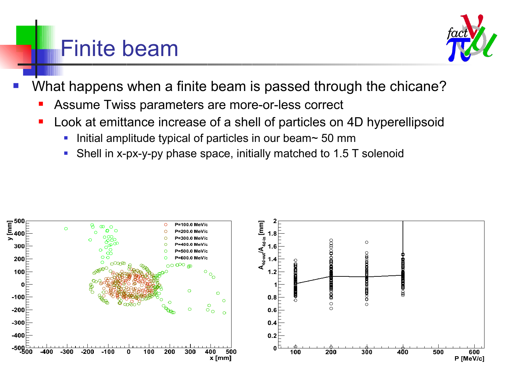#### Finite beam



- What happens when a finite beam is passed through the chicane?
	- Assume Twiss parameters are more-or-less correct
	- Look at emittance increase of a shell of particles on 4D hyperellipsoid
		- Initial amplitude typical of particles in our beam $\sim$  50 mm
		- Shell in x-px-y-py phase space, initially matched to 1.5 T solenoid

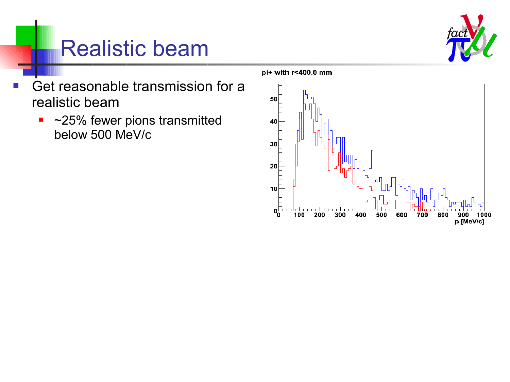

## Realistic beam

- **Get reasonable transmission for a** realistic beam
	- ~25% fewer pions transmitted below 500 MeV/c

pi+ with r<400.0 mm

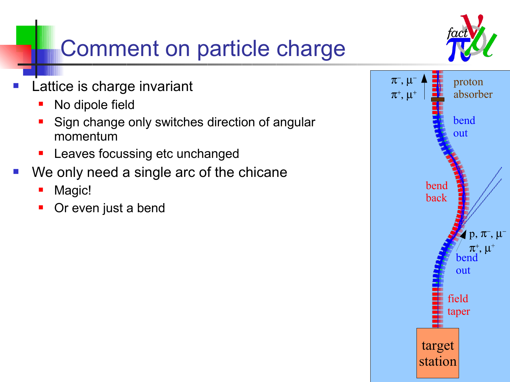

## Comment on particle charge

- Lattice is charge invariant
	- No dipole field
	- Sign change only switches direction of angular momentum
	- **-** Leaves focussing etc unchanged
- We only need a single arc of the chicane
	- Magic!
	- Or even just a bend

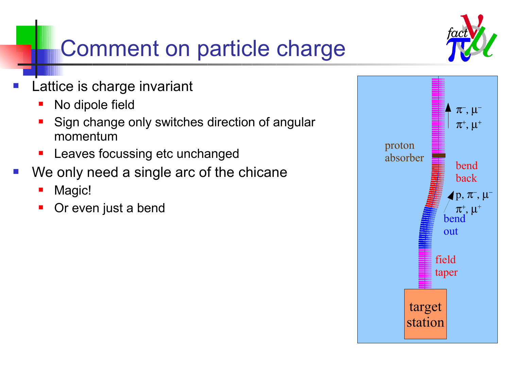## Comment on particle charge

- Lattice is charge invariant
	- No dipole field
	- Sign change only switches direction of angular momentum
	- **-** Leaves focussing etc unchanged
- We only need a single arc of the chicane
	- Magic!
	- Or even just a bend



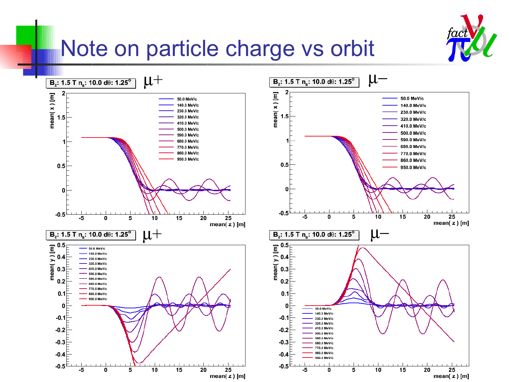

#### Note on particle charge vs orbit

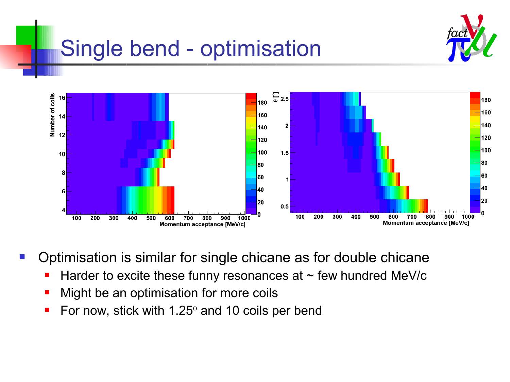

# Single bend - optimisation



- Optimisation is similar for single chicane as for double chicane
	- Harder to excite these funny resonances at  $\sim$  few hundred MeV/c
	- **Might be an optimisation for more coils**
	- For now, stick with  $1.25^{\circ}$  and 10 coils per bend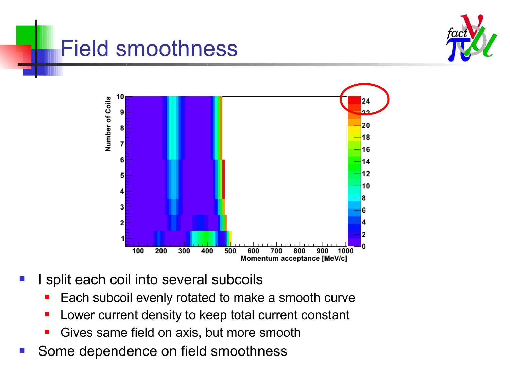

#### Field smoothness



- I split each coil into several subcoils
	- Each subcoil evenly rotated to make a smooth curve
	- **Lower current density to keep total current constant**
	- Gives same field on axis, but more smooth
- Some dependence on field smoothness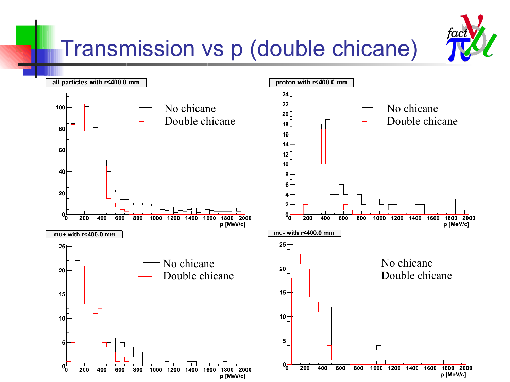

## Transmission vs p (double chicane)

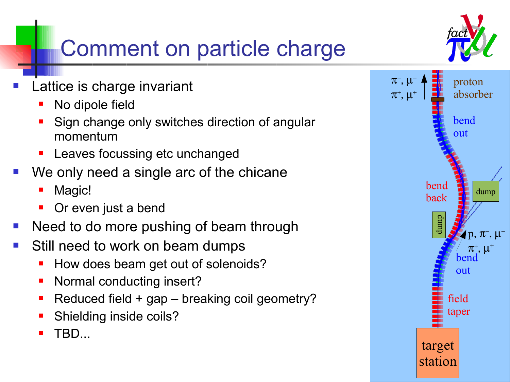

# Comment on particle charge

- Lattice is charge invariant
	- No dipole field
	- Sign change only switches direction of angular momentum
	- Leaves focussing etc unchanged
- We only need a single arc of the chicane
	- Magic!
	- Or even just a bend
- Need to do more pushing of beam through
- Still need to work on beam dumps
	- How does beam get out of solenoids?
	- Normal conducting insert?
	- Reduced field + gap breaking coil geometry?
	- Shielding inside coils?
	- TBD...